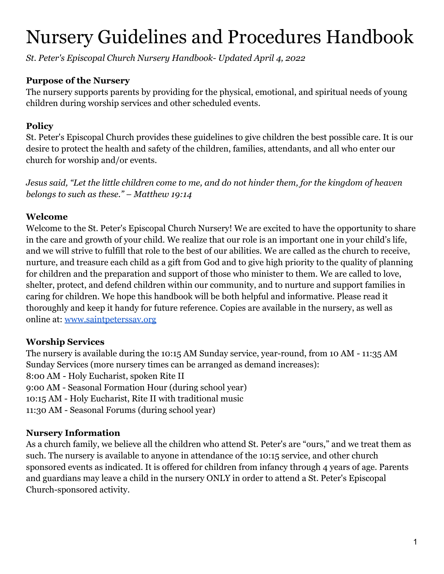# Nursery Guidelines and Procedures Handbook

*St. Peter's Episcopal Church Nursery Handbook- Updated April 4, 2022*

# **Purpose of the Nursery**

The nursery supports parents by providing for the physical, emotional, and spiritual needs of young children during worship services and other scheduled events.

#### **Policy**

St. Peter's Episcopal Church provides these guidelines to give children the best possible care. It is our desire to protect the health and safety of the children, families, attendants, and all who enter our church for worship and/or events.

*Jesus said, "Let the little children come to me, and do not hinder them, for the kingdom of heaven belongs to such as these." – Matthew 19:14*

#### **Welcome**

Welcome to the St. Peter's Episcopal Church Nursery! We are excited to have the opportunity to share in the care and growth of your child. We realize that our role is an important one in your child's life, and we will strive to fulfill that role to the best of our abilities. We are called as the church to receive, nurture, and treasure each child as a gift from God and to give high priority to the quality of planning for children and the preparation and support of those who minister to them. We are called to love, shelter, protect, and defend children within our community, and to nurture and support families in caring for children. We hope this handbook will be both helpful and informative. Please read it thoroughly and keep it handy for future reference. Copies are available in the nursery, as well as online at: [www.saintpeterssav.org](http://www.saintpeterssav.org)

# **Worship Services**

The nursery is available during the 10:15 AM Sunday service, year-round, from 10 AM - 11:35 AM Sunday Services (more nursery times can be arranged as demand increases): 8:00 AM - Holy Eucharist, spoken Rite II 9:00 AM - Seasonal Formation Hour (during school year) 10:15 AM - Holy Eucharist, Rite II with traditional music 11:30 AM - Seasonal Forums (during school year)

#### **Nursery Information**

As a church family, we believe all the children who attend St. Peter's are "ours," and we treat them as such. The nursery is available to anyone in attendance of the 10:15 service, and other church sponsored events as indicated. It is offered for children from infancy through 4 years of age. Parents and guardians may leave a child in the nursery ONLY in order to attend a St. Peter's Episcopal Church-sponsored activity.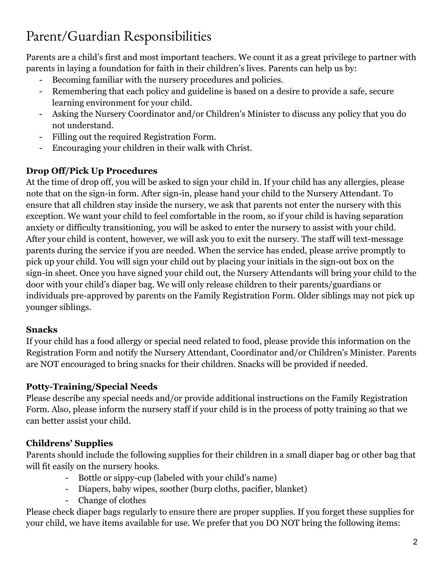# Parent/Guardian Responsibilities

Parents are a child's first and most important teachers. We count it as a great privilege to partner with parents in laying a foundation for faith in their children's lives. Parents can help us by:

- Becoming familiar with the nursery procedures and policies.
- Remembering that each policy and guideline is based on a desire to provide a safe, secure learning environment for your child.
- Asking the Nursery Coordinator and/or Children's Minister to discuss any policy that you do not understand.
- Filling out the required Registration Form.
- Encouraging your children in their walk with Christ.

# **Drop Off/Pick Up Procedures**

At the time of drop off, you will be asked to sign your child in. If your child has any allergies, please note that on the sign-in form. After sign-in, please hand your child to the Nursery Attendant. To ensure that all children stay inside the nursery, we ask that parents not enter the nursery with this exception. We want your child to feel comfortable in the room, so if your child is having separation anxiety or difficulty transitioning, you will be asked to enter the nursery to assist with your child. After your child is content, however, we will ask you to exit the nursery. The staff will text-message parents during the service if you are needed. When the service has ended, please arrive promptly to pick up your child. You will sign your child out by placing your initials in the sign-out box on the sign-in sheet. Once you have signed your child out, the Nursery Attendants will bring your child to the door with your child's diaper bag. We will only release children to their parents/guardians or individuals pre-approved by parents on the Family Registration Form. Older siblings may not pick up younger siblings.

# **Snacks**

If your child has a food allergy or special need related to food, please provide this information on the Registration Form and notify the Nursery Attendant, Coordinator and/or Children's Minister. Parents are NOT encouraged to bring snacks for their children. Snacks will be provided if needed.

# **Potty-Training/Special Needs**

Please describe any special needs and/or provide additional instructions on the Family Registration Form. Also, please inform the nursery staff if your child is in the process of potty training so that we can better assist your child.

# **Childrens' Supplies**

Parents should include the following supplies for their children in a small diaper bag or other bag that will fit easily on the nursery hooks.

- Bottle or sippy-cup (labeled with your child's name)
- Diapers, baby wipes, soother (burp cloths, pacifier, blanket)
- Change of clothes

Please check diaper bags regularly to ensure there are proper supplies. If you forget these supplies for your child, we have items available for use. We prefer that you DO NOT bring the following items: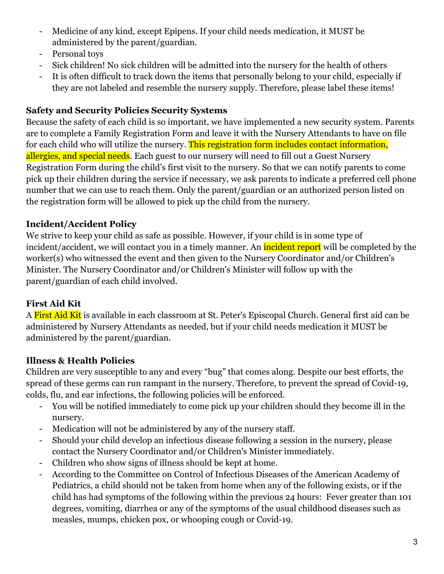- Medicine of any kind, except Epipens. If your child needs medication, it MUST be administered by the parent/guardian.
- Personal toys
- Sick children! No sick children will be admitted into the nursery for the health of others
- It is often difficult to track down the items that personally belong to your child, especially if they are not labeled and resemble the nursery supply. Therefore, please label these items!

#### **Safety and Security Policies Security Systems**

Because the safety of each child is so important, we have implemented a new security system. Parents are to complete a Family Registration Form and leave it with the Nursery Attendants to have on file for each child who will utilize the nursery. This registration form includes contact information, allergies, and special needs. Each guest to our nursery will need to fill out a Guest Nursery Registration Form during the child's first visit to the nursery. So that we can notify parents to come pick up their children during the service if necessary, we ask parents to indicate a preferred cell phone number that we can use to reach them. Only the parent/guardian or an authorized person listed on the registration form will be allowed to pick up the child from the nursery.

# **Incident/Accident Policy**

We strive to keep your child as safe as possible. However, if your child is in some type of incident/accident, we will contact you in a timely manner. An **incident report** will be completed by the worker(s) who witnessed the event and then given to the Nursery Coordinator and/or Children's Minister. The Nursery Coordinator and/or Children's Minister will follow up with the parent/guardian of each child involved.

# **First Aid Kit**

A First Aid Kit is available in each classroom at St. Peter's Episcopal Church. General first aid can be administered by Nursery Attendants as needed, but if your child needs medication it MUST be administered by the parent/guardian.

# **Illness & Health Policies**

Children are very susceptible to any and every "bug" that comes along. Despite our best efforts, the spread of these germs can run rampant in the nursery. Therefore, to prevent the spread of Covid-19, colds, flu, and ear infections, the following policies will be enforced.

- You will be notified immediately to come pick up your children should they become ill in the nursery.
- Medication will not be administered by any of the nursery staff.
- Should your child develop an infectious disease following a session in the nursery, please contact the Nursery Coordinator and/or Children's Minister immediately.
- Children who show signs of illness should be kept at home.
- According to the Committee on Control of Infectious Diseases of the American Academy of Pediatrics, a child should not be taken from home when any of the following exists, or if the child has had symptoms of the following within the previous 24 hours: Fever greater than 101 degrees, vomiting, diarrhea or any of the symptoms of the usual childhood diseases such as measles, mumps, chicken pox, or whooping cough or Covid-19.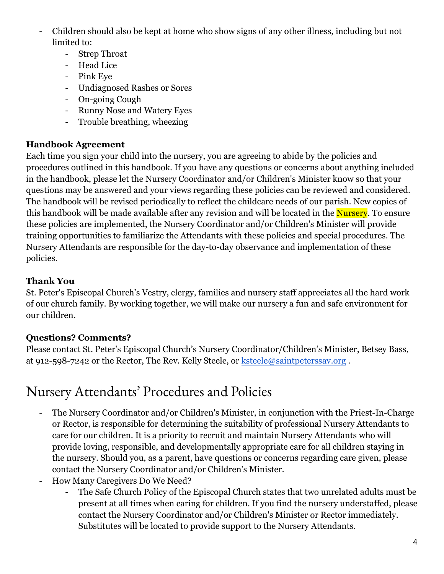- Children should also be kept at home who show signs of any other illness, including but not limited to:
	- Strep Throat
	- Head Lice
	- Pink Eye
	- Undiagnosed Rashes or Sores
	- On-going Cough
	- Runny Nose and Watery Eyes
	- Trouble breathing, wheezing

# **Handbook Agreement**

Each time you sign your child into the nursery, you are agreeing to abide by the policies and procedures outlined in this handbook. If you have any questions or concerns about anything included in the handbook, please let the Nursery Coordinator and/or Children's Minister know so that your questions may be answered and your views regarding these policies can be reviewed and considered. The handbook will be revised periodically to reflect the childcare needs of our parish. New copies of this handbook will be made available after any revision and will be located in the Nursery. To ensure these policies are implemented, the Nursery Coordinator and/or Children's Minister will provide training opportunities to familiarize the Attendants with these policies and special procedures. The Nursery Attendants are responsible for the day-to-day observance and implementation of these policies.

# **Thank You**

St. Peter's Episcopal Church's Vestry, clergy, families and nursery staff appreciates all the hard work of our church family. By working together, we will make our nursery a fun and safe environment for our children.

# **Questions? Comments?**

Please contact St. Peter's Episcopal Church's Nursery Coordinator/Children's Minister, Betsey Bass, at 912-598-7242 or the Rector, The Rev. Kelly Steele, or [ksteele@saintpeterssav.org](mailto:ksteele@saintpeterssav.org) .

# Nursery Attendants ' Procedures and Policies

- The Nursery Coordinator and/or Children's Minister, in conjunction with the Priest-In-Charge or Rector, is responsible for determining the suitability of professional Nursery Attendants to care for our children. It is a priority to recruit and maintain Nursery Attendants who will provide loving, responsible, and developmentally appropriate care for all children staying in the nursery. Should you, as a parent, have questions or concerns regarding care given, please contact the Nursery Coordinator and/or Children's Minister.
- How Many Caregivers Do We Need?
	- The Safe Church Policy of the Episcopal Church states that two unrelated adults must be present at all times when caring for children. If you find the nursery understaffed, please contact the Nursery Coordinator and/or Children's Minister or Rector immediately. Substitutes will be located to provide support to the Nursery Attendants.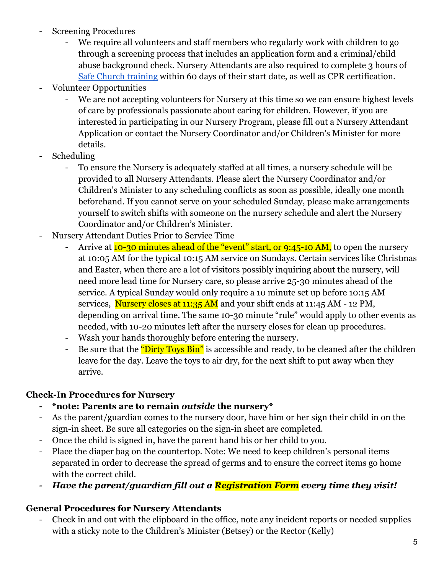- Screening Procedures
	- We require all volunteers and staff members who regularly work with children to go through a screening process that includes an application form and a criminal/child abuse background check. Nursery Attendants are also required to complete 3 hours of [Safe Church training](https://gaepiscopal.org/safeguarding-gods-children/) within 60 days of their start date, as well as CPR certification.
- Volunteer Opportunities
	- We are not accepting volunteers for Nursery at this time so we can ensure highest levels of care by professionals passionate about caring for children. However, if you are interested in participating in our Nursery Program, please fill out a Nursery Attendant Application or contact the Nursery Coordinator and/or Children's Minister for more details.
- **Scheduling** 
	- To ensure the Nursery is adequately staffed at all times, a nursery schedule will be provided to all Nursery Attendants. Please alert the Nursery Coordinator and/or Children's Minister to any scheduling conflicts as soon as possible, ideally one month beforehand. If you cannot serve on your scheduled Sunday, please make arrangements yourself to switch shifts with someone on the nursery schedule and alert the Nursery Coordinator and/or Children's Minister.
- Nursery Attendant Duties Prior to Service Time
	- Arrive at 10-30 minutes ahead of the "event" start, or 9:45-10 AM, to open the nursery at 10:05 AM for the typical 10:15 AM service on Sundays. Certain services like Christmas and Easter, when there are a lot of visitors possibly inquiring about the nursery, will need more lead time for Nursery care, so please arrive 25-30 minutes ahead of the service. A typical Sunday would only require a 10 minute set up before 10:15 AM services, Nursery closes at 11:35 AM and your shift ends at 11:45 AM - 12 PM, depending on arrival time. The same 10-30 minute "rule" would apply to other events as needed, with 10-20 minutes left after the nursery closes for clean up procedures.
	- Wash your hands thoroughly before entering the nursery.
	- Be sure that the "Dirty Toys Bin" is accessible and ready, to be cleaned after the children leave for the day. Leave the toys to air dry, for the next shift to put away when they arrive.

#### **Check-In Procedures for Nursery**

- **- \*note: Parents are to remain** *outside* **the nursery\***
- As the parent/guardian comes to the nursery door, have him or her sign their child in on the sign-in sheet. Be sure all categories on the sign-in sheet are completed.
- Once the child is signed in, have the parent hand his or her child to you.
- Place the diaper bag on the countertop. Note: We need to keep children's personal items separated in order to decrease the spread of germs and to ensure the correct items go home with the correct child.
- *- Have the parent/guardian fill out a Registration Form every time they visit!*

#### **General Procedures for Nursery Attendants**

- Check in and out with the clipboard in the office, note any incident reports or needed supplies with a sticky note to the Children's Minister (Betsey) or the Rector (Kelly)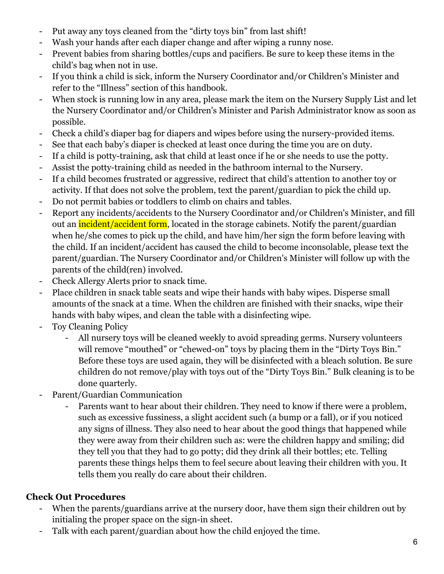- Put away any toys cleaned from the "dirty toys bin" from last shift!
- Wash your hands after each diaper change and after wiping a runny nose.
- Prevent babies from sharing bottles/cups and pacifiers. Be sure to keep these items in the child's bag when not in use.
- If you think a child is sick, inform the Nursery Coordinator and/or Children's Minister and refer to the "Illness" section of this handbook.
- When stock is running low in any area, please mark the item on the Nursery Supply List and let the Nursery Coordinator and/or Children's Minister and Parish Administrator know as soon as possible.
- Check a child's diaper bag for diapers and wipes before using the nursery-provided items.
- See that each baby's diaper is checked at least once during the time you are on duty.
- If a child is potty-training, ask that child at least once if he or she needs to use the potty.
- Assist the potty-training child as needed in the bathroom internal to the Nursery.
- If a child becomes frustrated or aggressive, redirect that child's attention to another toy or activity. If that does not solve the problem, text the parent/guardian to pick the child up.
- Do not permit babies or toddlers to climb on chairs and tables.
- Report any incidents/accidents to the Nursery Coordinator and/or Children's Minister, and fill out an **incident/accident form**, located in the storage cabinets. Notify the parent/guardian when he/she comes to pick up the child, and have him/her sign the form before leaving with the child. If an incident/accident has caused the child to become inconsolable, please text the parent/guardian. The Nursery Coordinator and/or Children's Minister will follow up with the parents of the child(ren) involved.
- Check Allergy Alerts prior to snack time.
- Place children in snack table seats and wipe their hands with baby wipes. Disperse small amounts of the snack at a time. When the children are finished with their snacks, wipe their hands with baby wipes, and clean the table with a disinfecting wipe.
- Toy Cleaning Policy
	- All nursery toys will be cleaned weekly to avoid spreading germs. Nursery volunteers will remove "mouthed" or "chewed-on" toys by placing them in the "Dirty Toys Bin." Before these toys are used again, they will be disinfected with a bleach solution. Be sure children do not remove/play with toys out of the "Dirty Toys Bin." Bulk cleaning is to be done quarterly.
- Parent/Guardian Communication
	- Parents want to hear about their children. They need to know if there were a problem, such as excessive fussiness, a slight accident such (a bump or a fall), or if you noticed any signs of illness. They also need to hear about the good things that happened while they were away from their children such as: were the children happy and smiling; did they tell you that they had to go potty; did they drink all their bottles; etc. Telling parents these things helps them to feel secure about leaving their children with you. It tells them you really do care about their children.

# **Check Out Procedures**

- When the parents/guardians arrive at the nursery door, have them sign their children out by initialing the proper space on the sign-in sheet.
- Talk with each parent/guardian about how the child enjoyed the time.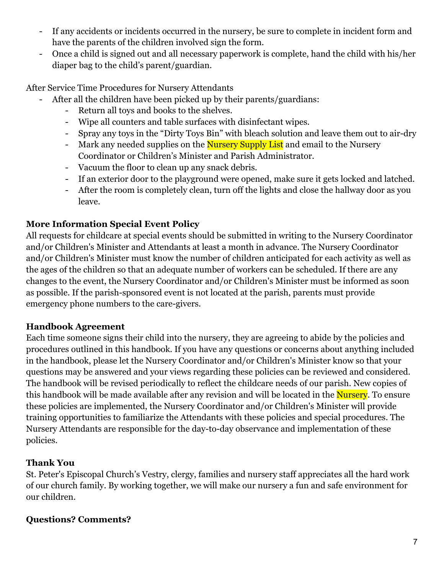- If any accidents or incidents occurred in the nursery, be sure to complete in incident form and have the parents of the children involved sign the form.
- Once a child is signed out and all necessary paperwork is complete, hand the child with his/her diaper bag to the child's parent/guardian.

After Service Time Procedures for Nursery Attendants

- After all the children have been picked up by their parents/guardians:
	- Return all toys and books to the shelves.
	- Wipe all counters and table surfaces with disinfectant wipes.
	- Spray any toys in the "Dirty Toys Bin" with bleach solution and leave them out to air-dry
	- Mark any needed supplies on the Nursery Supply List and email to the Nursery Coordinator or Children's Minister and Parish Administrator.
	- Vacuum the floor to clean up any snack debris.
	- If an exterior door to the playground were opened, make sure it gets locked and latched.
	- After the room is completely clean, turn off the lights and close the hallway door as you leave.

# **More Information Special Event Policy**

All requests for childcare at special events should be submitted in writing to the Nursery Coordinator and/or Children's Minister and Attendants at least a month in advance. The Nursery Coordinator and/or Children's Minister must know the number of children anticipated for each activity as well as the ages of the children so that an adequate number of workers can be scheduled. If there are any changes to the event, the Nursery Coordinator and/or Children's Minister must be informed as soon as possible. If the parish-sponsored event is not located at the parish, parents must provide emergency phone numbers to the care-givers.

# **Handbook Agreement**

Each time someone signs their child into the nursery, they are agreeing to abide by the policies and procedures outlined in this handbook. If you have any questions or concerns about anything included in the handbook, please let the Nursery Coordinator and/or Children's Minister know so that your questions may be answered and your views regarding these policies can be reviewed and considered. The handbook will be revised periodically to reflect the childcare needs of our parish. New copies of this handbook will be made available after any revision and will be located in the **Nursery**. To ensure these policies are implemented, the Nursery Coordinator and/or Children's Minister will provide training opportunities to familiarize the Attendants with these policies and special procedures. The Nursery Attendants are responsible for the day-to-day observance and implementation of these policies.

# **Thank You**

St. Peter's Episcopal Church's Vestry, clergy, families and nursery staff appreciates all the hard work of our church family. By working together, we will make our nursery a fun and safe environment for our children.

# **Questions? Comments?**